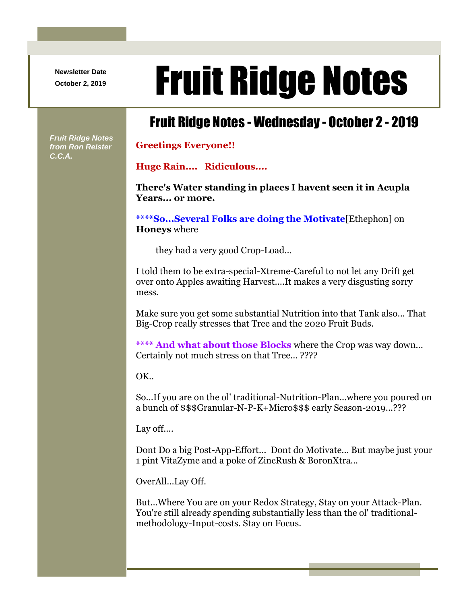**Newsletter Date**

## Newsletter Date **Fruit Ridge Notes**

## Fruit Ridge Notes - Wednesday - October 2 - 2019

*Fruit Ridge Notes from Ron Reister C.C.A.*

## **Greetings Everyone!!**

**Huge Rain.... Ridiculous....**

**There's Water standing in places I havent seen it in Acupla Years... or more.**

**\*\*\*\*So...Several Folks are doing the Motivate**[Ethephon] on **Honeys** where

they had a very good Crop-Load...

I told them to be extra-special-Xtreme-Careful to not let any Drift get over onto Apples awaiting Harvest....It makes a very disgusting sorry mess.

Make sure you get some substantial Nutrition into that Tank also... That Big-Crop really stresses that Tree and the 2020 Fruit Buds.

**\*\*\*\* And what about those Blocks** where the Crop was way down... Certainly not much stress on that Tree... ????

OK..

So...If you are on the ol' traditional-Nutrition-Plan...where you poured on a bunch of \$\$\$Granular-N-P-K+Micro\$\$\$ early Season-2019...???

Lay off....

Dont Do a big Post-App-Effort... Dont do Motivate... But maybe just your 1 pint VitaZyme and a poke of ZincRush & BoronXtra...

OverAll...Lay Off.

But...Where You are on your Redox Strategy, Stay on your Attack-Plan. You're still already spending substantially less than the ol' traditionalmethodology-Input-costs. Stay on Focus.